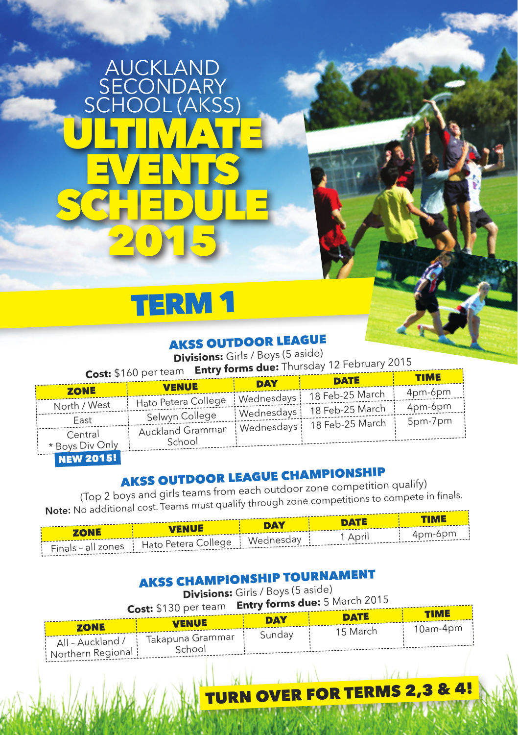## AUCKLAND **SECONDARY** SCHOOL (AKSS) ULTIMATE EVENTS SCHEDULE, 2015



#### AKSS OUTDOOR LEAGUE

**Divisions:** Girls / Boys (5 aside)

**Cost:** \$160 per team **Entry forms due:** Thursday 12 February 2015

| $\cos P$ $\theta$ in the figure |                                  |            |                              | <b>TIME</b> |  |
|---------------------------------|----------------------------------|------------|------------------------------|-------------|--|
|                                 | <b>VENUE</b>                     | <b>DAY</b> | <b>DATE</b>                  |             |  |
| <b>ZONE</b>                     |                                  |            | 18 Feb-25 March              | 4pm-6pm     |  |
| North / West                    | Hato Petera College   Wednesdays |            |                              | 4pm-6pm     |  |
| East                            | Selwyn College                   |            | Wednesdays   18 Feb-25 March | 5pm-7pm     |  |
| Central                         | Auckland Grammar                 |            | Wednesdays   18 Feb-25 March |             |  |
| * Boys Div Only                 | School                           |            |                              |             |  |

NEW 2015!

### AKSS OUTDOOR LEAGUE CHAMPIONSHIP

(Top 2 boys and girls teams from each outdoor zone competition qualify) (Top 2 boys and girls teams from each oddoor 2000)<br>Note: No additional cost. Teams must qualify through zone competitions to compete in finals.

| ------<br>DAY . |                                                                          |  | <b>DATE</b> | <b>TIME</b> |
|-----------------|--------------------------------------------------------------------------|--|-------------|-------------|
|                 | <b>VENUE</b>                                                             |  |             |             |
|                 | ' Finals-all zones   Hato Petera College   Wednesday   1 April   4pm-6pm |  |             |             |

### AKSS CHAMPIONSHIP TOURNAMENT

**Divisions:** Girls / Boys (5 aside)

| <b>Cost:</b> \$130 per team Entry forms due: 5 March 2015 |                                     |            |             |             |  |
|-----------------------------------------------------------|-------------------------------------|------------|-------------|-------------|--|
|                                                           |                                     | <b>DAY</b> | <b>DATE</b> | <b>TIME</b> |  |
| <b>ZONE</b>                                               | <b>VENUE</b>                        |            | 15 March    | : 10am-4pm  |  |
|                                                           | All - Auckland /   Takapuna Grammar | Sunday     |             |             |  |
| Northern Regional                                         | School                              |            |             |             |  |

**VER FOR TERMS 2,3 & 4!**